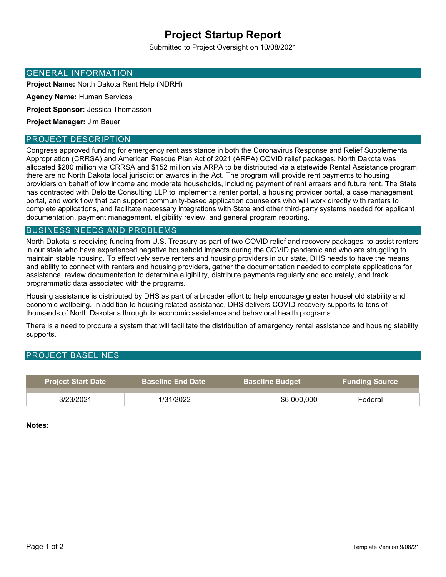# **Project Startup Report**

Submitted to Project Oversight on 10/08/2021

#### GENERAL INFORMATION

**Project Name:** North Dakota Rent Help (NDRH)

**Agency Name:** Human Services

**Project Sponsor:** Jessica Thomasson

**Project Manager:** Jim Bauer

### PROJECT DESCRIPTION

Congress approved funding for emergency rent assistance in both the Coronavirus Response and Relief Supplemental Appropriation (CRRSA) and American Rescue Plan Act of 2021 (ARPA) COVID relief packages. North Dakota was allocated \$200 million via CRRSA and \$152 million via ARPA to be distributed via a statewide Rental Assistance program; there are no North Dakota local jurisdiction awards in the Act. The program will provide rent payments to housing providers on behalf of low income and moderate households, including payment of rent arrears and future rent. The State has contracted with Deloitte Consulting LLP to implement a renter portal, a housing provider portal, a case management portal, and work flow that can support community-based application counselors who will work directly with renters to complete applications, and facilitate necessary integrations with State and other third-party systems needed for applicant documentation, payment management, eligibility review, and general program reporting.

## BUSINESS NEEDS AND PROBLEMS

North Dakota is receiving funding from U.S. Treasury as part of two COVID relief and recovery packages, to assist renters in our state who have experienced negative household impacts during the COVID pandemic and who are struggling to maintain stable housing. To effectively serve renters and housing providers in our state, DHS needs to have the means and ability to connect with renters and housing providers, gather the documentation needed to complete applications for assistance, review documentation to determine eligibility, distribute payments regularly and accurately, and track programmatic data associated with the programs.

Housing assistance is distributed by DHS as part of a broader effort to help encourage greater household stability and economic wellbeing. In addition to housing related assistance, DHS delivers COVID recovery supports to tens of thousands of North Dakotans through its economic assistance and behavioral health programs.

There is a need to procure a system that will facilitate the distribution of emergency rental assistance and housing stability supports.

### PROJECT BASELINES

| <b>Project Start Date</b> | <b>Baseline End Date I</b> ا | <b>Baseline Budget</b> | <b>Funding Source</b> |
|---------------------------|------------------------------|------------------------|-----------------------|
| 3/23/2021                 | 1/31/2022                    | \$6,000,000            | Federal               |

**Notes:**